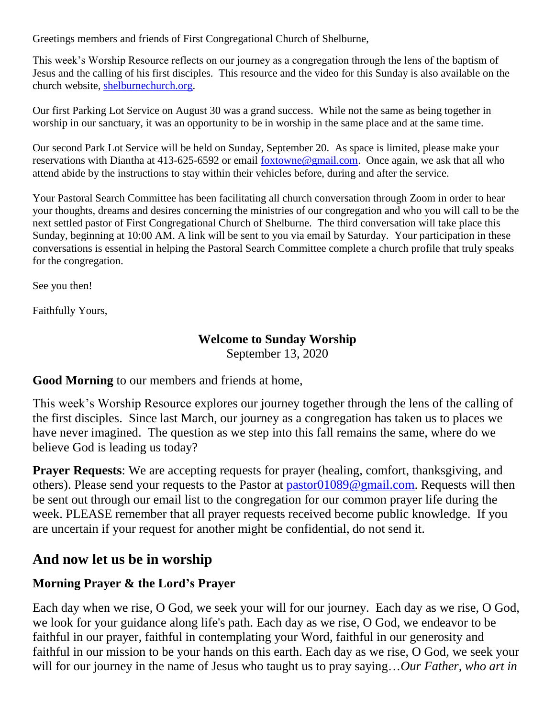Greetings members and friends of First Congregational Church of Shelburne,

This week's Worship Resource reflects on our journey as a congregation through the lens of the baptism of Jesus and the calling of his first disciples. This resource and the video for this Sunday is also available on the church website, [shelburnechurch.org.](http://shelburnechurch.org/)

Our first Parking Lot Service on August 30 was a grand success. While not the same as being together in worship in our sanctuary, it was an opportunity to be in worship in the same place and at the same time.

Our second Park Lot Service will be held on Sunday, September 20. As space is limited, please make your reservations with Diantha at 413-625-6592 or email [foxtowne@gmail.com.](mailto:foxtowne@gmail.com) Once again, we ask that all who attend abide by the instructions to stay within their vehicles before, during and after the service.

Your Pastoral Search Committee has been facilitating all church conversation through Zoom in order to hear your thoughts, dreams and desires concerning the ministries of our congregation and who you will call to be the next settled pastor of First Congregational Church of Shelburne. The third conversation will take place this Sunday, beginning at 10:00 AM. A link will be sent to you via email by Saturday. Your participation in these conversations is essential in helping the Pastoral Search Committee complete a church profile that truly speaks for the congregation.

See you then!

Faithfully Yours,

### **Welcome to Sunday Worship**

September 13, 2020

### **Good Morning** to our members and friends at home,

This week's Worship Resource explores our journey together through the lens of the calling of the first disciples. Since last March, our journey as a congregation has taken us to places we have never imagined. The question as we step into this fall remains the same, where do we believe God is leading us today?

**Prayer Requests**: We are accepting requests for prayer (healing, comfort, thanksgiving, and others). Please send your requests to the Pastor at [pastor01089@gmail.com.](mailto:pastor01089@gmail.com) Requests will then be sent out through our email list to the congregation for our common prayer life during the week. PLEASE remember that all prayer requests received become public knowledge. If you are uncertain if your request for another might be confidential, do not send it.

## **And now let us be in worship**

### **Morning Prayer & the Lord's Prayer**

Each day when we rise, O God, we seek your will for our journey. Each day as we rise, O God, we look for your guidance along life's path. Each day as we rise, O God, we endeavor to be faithful in our prayer, faithful in contemplating your Word, faithful in our generosity and faithful in our mission to be your hands on this earth. Each day as we rise, O God, we seek your will for our journey in the name of Jesus who taught us to pray saying…*Our Father, who art in*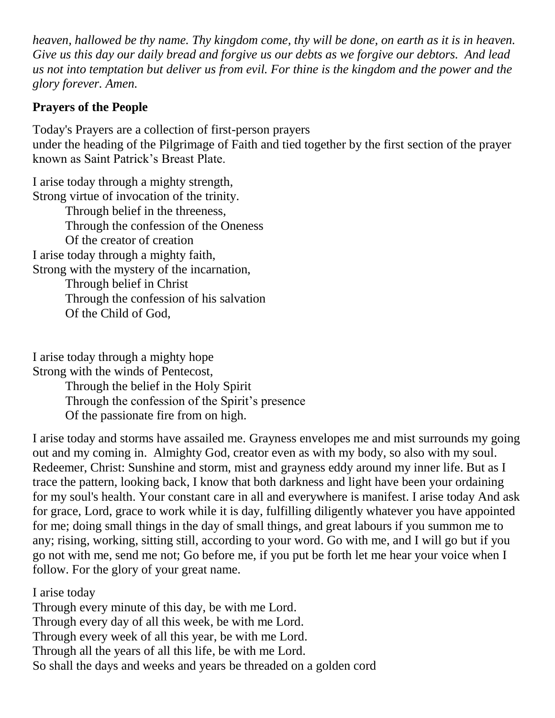*heaven, hallowed be thy name. Thy kingdom come, thy will be done, on earth as it is in heaven. Give us this day our daily bread and forgive us our debts as we forgive our debtors. And lead us not into temptation but deliver us from evil. For thine is the kingdom and the power and the glory forever. Amen.*

# **Prayers of the People**

Today's Prayers are a collection of first-person prayers under the heading of the Pilgrimage of Faith and tied together by the first section of the prayer known as Saint Patrick's Breast Plate.

I arise today through a mighty strength, Strong virtue of invocation of the trinity. Through belief in the threeness, Through the confession of the Oneness Of the creator of creation I arise today through a mighty faith, Strong with the mystery of the incarnation, Through belief in Christ Through the confession of his salvation Of the Child of God,

I arise today through a mighty hope Strong with the winds of Pentecost,

Through the belief in the Holy Spirit Through the confession of the Spirit's presence Of the passionate fire from on high.

I arise today and storms have assailed me. Grayness envelopes me and mist surrounds my going out and my coming in. Almighty God, creator even as with my body, so also with my soul. Redeemer, Christ: Sunshine and storm, mist and grayness eddy around my inner life. But as I trace the pattern, looking back, I know that both darkness and light have been your ordaining for my soul's health. Your constant care in all and everywhere is manifest. I arise today And ask for grace, Lord, grace to work while it is day, fulfilling diligently whatever you have appointed for me; doing small things in the day of small things, and great labours if you summon me to any; rising, working, sitting still, according to your word. Go with me, and I will go but if you go not with me, send me not; Go before me, if you put be forth let me hear your voice when I follow. For the glory of your great name.

I arise today Through every minute of this day, be with me Lord. Through every day of all this week, be with me Lord. Through every week of all this year, be with me Lord. Through all the years of all this life, be with me Lord. So shall the days and weeks and years be threaded on a golden cord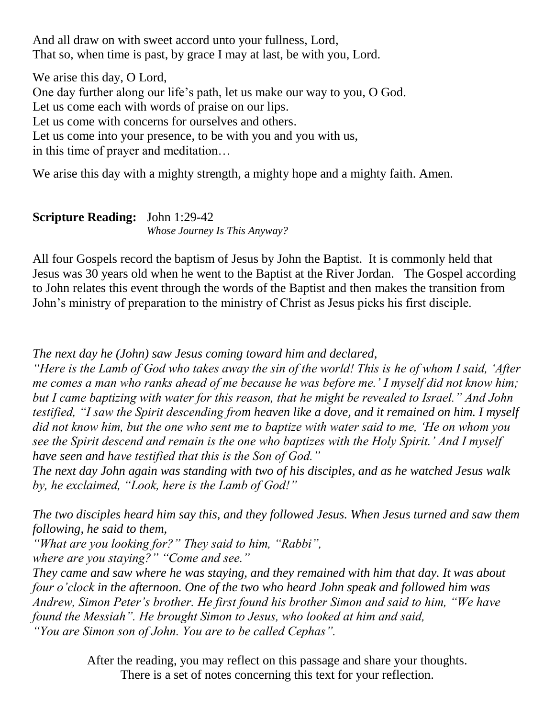And all draw on with sweet accord unto your fullness, Lord, That so, when time is past, by grace I may at last, be with you, Lord.

We arise this day, O Lord, One day further along our life's path, let us make our way to you, O God. Let us come each with words of praise on our lips. Let us come with concerns for ourselves and others. Let us come into your presence, to be with you and you with us, in this time of prayer and meditation…

We arise this day with a mighty strength, a mighty hope and a mighty faith. Amen.

#### **Scripture Reading:** John 1:29-42 *Whose Journey Is This Anyway?*

All four Gospels record the baptism of Jesus by John the Baptist. It is commonly held that Jesus was 30 years old when he went to the Baptist at the River Jordan. The Gospel according to John relates this event through the words of the Baptist and then makes the transition from John's ministry of preparation to the ministry of Christ as Jesus picks his first disciple.

*The next day he (John) saw Jesus coming toward him and declared,* 

*"Here is the Lamb of God who takes away the sin of the world! This is he of whom I said, 'After me comes a man who ranks ahead of me because he was before me.' I myself did not know him; but I came baptizing with water for this reason, that he might be revealed to Israel." And John testified, "I saw the Spirit descending from heaven like a dove, and it remained on him. I myself did not know him, but the one who sent me to baptize with water said to me, 'He on whom you see the Spirit descend and remain is the one who baptizes with the Holy Spirit.' And I myself have seen and have testified that this is the Son of God."*

*The next day John again was standing with two of his disciples, and as he watched Jesus walk by, he exclaimed, "Look, here is the Lamb of God!"* 

*The two disciples heard him say this, and they followed Jesus. When Jesus turned and saw them following, he said to them,* 

*"What are you looking for?" They said to him, "Rabbi", where are you staying?" "Come and see."* 

*They came and saw where he was staying, and they remained with him that day. It was about four o'clock in the afternoon. One of the two who heard John speak and followed him was Andrew, Simon Peter's brother. He first found his brother Simon and said to him, "We have found the Messiah". He brought Simon to Jesus, who looked at him and said, "You are Simon son of John. You are to be called Cephas".*

> After the reading, you may reflect on this passage and share your thoughts. There is a set of notes concerning this text for your reflection.